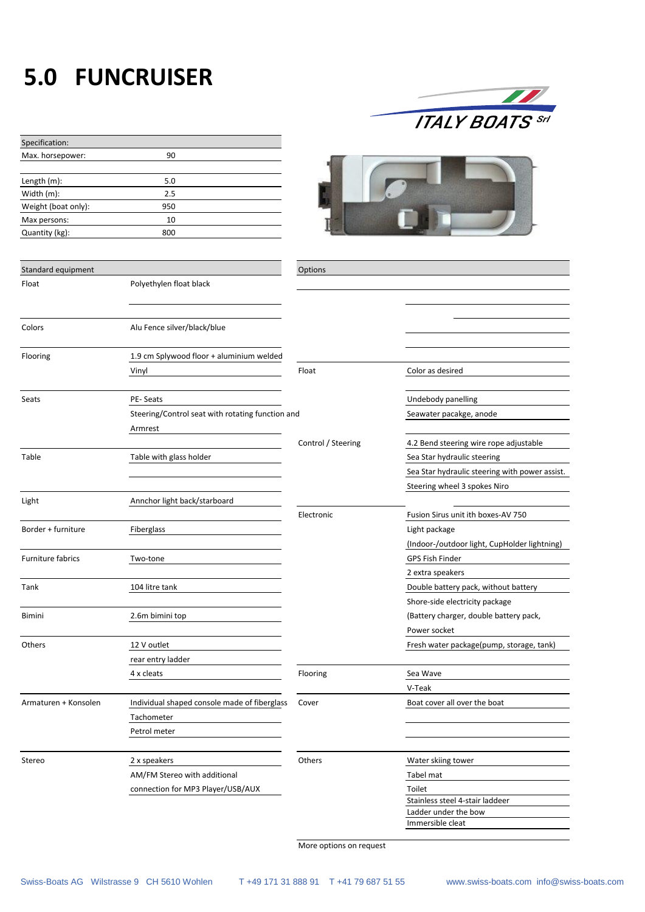## **5.0 FUNCRUISER**

Specification:

| <b>ITALY BOATS</b> Srl |
|------------------------|

| Max. horsepower:         | 90                                               |                    |                                                |
|--------------------------|--------------------------------------------------|--------------------|------------------------------------------------|
| Length (m):              | 5.0                                              |                    |                                                |
| Width (m):               | 2.5                                              |                    |                                                |
| Weight (boat only):      | 950                                              |                    |                                                |
| Max persons:             | 10                                               |                    |                                                |
| Quantity (kg):           | 800                                              |                    |                                                |
|                          |                                                  |                    |                                                |
| Standard equipment       |                                                  | Options            |                                                |
| Float                    | Polyethylen float black                          |                    |                                                |
|                          |                                                  |                    |                                                |
| Colors                   | Alu Fence silver/black/blue                      |                    |                                                |
| Flooring                 | 1.9 cm Splywood floor + aluminium welded         |                    |                                                |
|                          | Vinyl                                            | Float              | Color as desired                               |
| Seats                    | PE-Seats                                         |                    | Undebody panelling                             |
|                          | Steering/Control seat with rotating function and |                    | Seawater pacakge, anode                        |
|                          | Armrest                                          |                    |                                                |
|                          |                                                  | Control / Steering | 4.2 Bend steering wire rope adjustable         |
| Table                    | Table with glass holder                          |                    | Sea Star hydraulic steering                    |
|                          |                                                  |                    | Sea Star hydraulic steering with power assist. |
|                          |                                                  |                    | Steering wheel 3 spokes Niro                   |
| Light                    | Annchor light back/starboard                     |                    |                                                |
|                          |                                                  | Electronic         | Fusion Sirus unit ith boxes-AV 750             |
| Border + furniture       | Fiberglass                                       |                    | Light package                                  |
|                          |                                                  |                    | (Indoor-/outdoor light, CupHolder lightning)   |
| <b>Furniture fabrics</b> | Two-tone                                         |                    | GPS Fish Finder                                |
|                          |                                                  |                    | 2 extra speakers                               |
| Tank                     | 104 litre tank                                   |                    | Double battery pack, without battery           |
|                          |                                                  |                    |                                                |
|                          |                                                  |                    | Shore-side electricity package                 |
| Bimini                   | 2.6m bimini top                                  |                    | (Battery charger, double battery pack,         |
|                          |                                                  |                    | Power socket                                   |
| Others                   | 12 V outlet                                      |                    | Fresh water package(pump, storage, tank)       |
|                          | rear entry ladder                                |                    |                                                |
|                          | 4 x cleats                                       | Flooring           | Sea Wave                                       |
|                          |                                                  |                    | V-Teak                                         |
| Armaturen + Konsolen     | Individual shaped console made of fiberglass     | Cover              | Boat cover all over the boat                   |
|                          | Tachometer                                       |                    |                                                |
|                          | Petrol meter                                     |                    |                                                |
| Stereo                   | 2 x speakers                                     | Others             | Water skiing tower                             |
|                          | AM/FM Stereo with additional                     |                    | Tabel mat                                      |
|                          | connection for MP3 Player/USB/AUX                |                    | Toilet                                         |
|                          |                                                  |                    | Stainless steel 4-stair laddeer                |
|                          |                                                  |                    | Ladder under the bow                           |
|                          |                                                  |                    | Immersible cleat                               |

More options on request